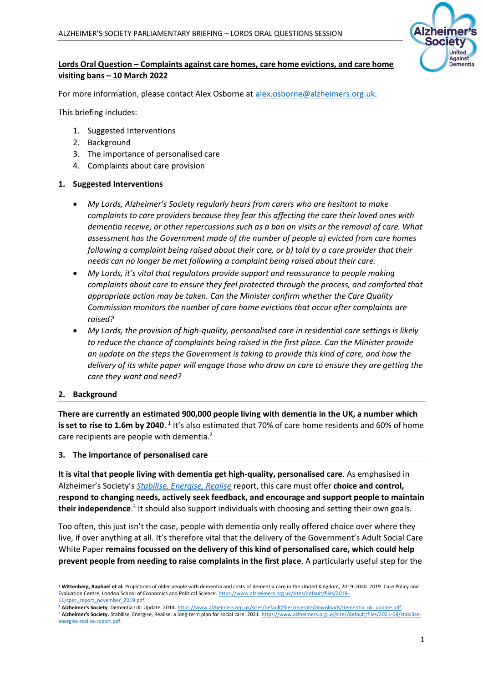

# **Lords Oral Question – Complaints against care homes, care home evictions, and care home visiting bans – 10 March 2022**

For more information, please contact Alex Osborne at [alex.osborne@alzheimers.org.uk.](mailto:alex.osborne@alzheimers.org.uk)

This briefing includes:

- 1. Suggested Interventions
- 2. Background
- 3. The importance of personalised care
- 4. Complaints about care provision

### **1. Suggested Interventions**

- *My Lords, Alzheimer's Society regularly hears from carers who are hesitant to make complaints to care providers because they fear this affecting the care their loved ones with dementia receive, or other repercussions such as a ban on visits or the removal of care. What assessment has the Government made of the number of people a) evicted from care homes following a complaint being raised about their care, or b) told by a care provider that their needs can no longer be met following a complaint being raised about their care.*
- *My Lords, it's vital that regulators provide support and reassurance to people making complaints about care to ensure they feel protected through the process, and comforted that appropriate action may be taken. Can the Minister confirm whether the Care Quality Commission monitors the number of care home evictions that occur after complaints are raised?*
- *My Lords, the provision of high-quality, personalised care in residential care settings is likely to reduce the chance of complaints being raised in the first place. Can the Minister provide an update on the steps the Government is taking to provide this kind of care, and how the delivery of its white paper will engage those who draw on care to ensure they are getting the care they want and need?*

#### **2. Background**

**There are currently an estimated 900,000 people living with dementia in the UK, a number which**  is set to rise to 1.6m by 2040. <sup>1</sup> It's also estimated that 70% of care home residents and 60% of home care recipients are people with dementia.<sup>2</sup>

#### **3. The importance of personalised care**

**It is vital that people living with dementia get high-quality, personalised care**. As emphasised in Alzheimer's Society's *[Stabilise, Energise, Realise](https://www.alzheimers.org.uk/sites/default/files/2021-08/stabilise-energise-realise-report.pdf)* report, this care must offer **choice and control, respond to changing needs, actively seek feedback, and encourage and support people to maintain**  their independence.<sup>3</sup> It should also support individuals with choosing and setting their own goals.

Too often, this just isn't the case, people with dementia only really offered choice over where they live, if over anything at all. It's therefore vital that the delivery of the Government's Adult Social Care White Paper **remains focussed on the delivery of this kind of personalised care, which could help prevent people from needing to raise complaints in the first place**. A particularly useful step for the

<sup>&</sup>lt;sup>1</sup> Wittenberg, Raphael et al. Projections of older people with dementia and costs of dementia care in the United Kingdom, 2019-2040. 2019. Care Policy and Evaluation Centre, London School of Economics and Political Science[. https://www.alzheimers.org.uk/sites/default/files/2019-](https://www.alzheimers.org.uk/sites/default/files/2019-%2011/cpec_report_november_2019.pdf) 11/cpec\_report\_november\_2019.pd

<sup>&</sup>lt;sup>2</sup> Alzheimer's Society. Dementia UK: Update. 2014. https://www.alzheimers.org.uk/sites/default/files/migrate/downloads/dementia\_uk\_update.pdf.

<sup>&</sup>lt;sup>3</sup> Alzheimer's Society. Stabilise, Energise, Realise: a long term plan for social care. 2021[. https://www.alzheimers.org.uk/sites/default/files/2021-08/stabilise](https://www.alzheimers.org.uk/sites/default/files/2021-08/stabilise-energise-realise-report.pdf)[energise-realise-report.pdf.](https://www.alzheimers.org.uk/sites/default/files/2021-08/stabilise-energise-realise-report.pdf)